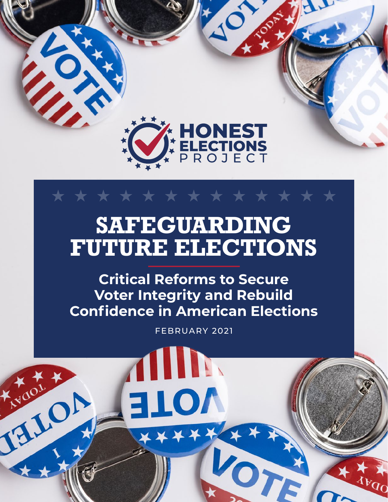

 $\mathbf{Z}$ 

THULL A

# **Safeguarding FUTURE ELECTIONS**

\* \* \* \* \* \* \* \* \* \*

**Critical Reforms to Secure Voter Integrity and Rebuild Confidence in American Elections**

February 2021

**III** 

LOT

JOTE

xxx.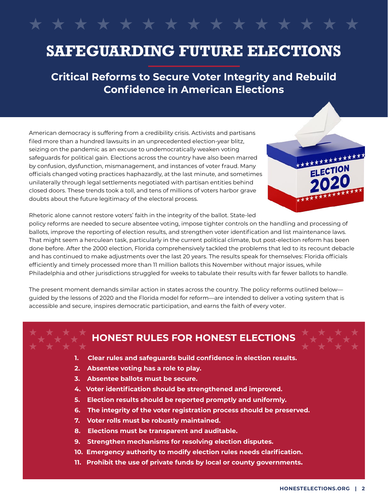### **Safeguarding Future Elections**

**Critical Reforms to Secure Voter Integrity and Rebuild Confidence in American Elections**

American democracy is suffering from a credibility crisis. Activists and partisans filed more than a hundred lawsuits in an unprecedented election-year blitz, seizing on the pandemic as an excuse to undemocratically weaken voting safeguards for political gain. Elections across the country have also been marred by confusion, dysfunction, mismanagement, and instances of voter fraud. Many officials changed voting practices haphazardly, at the last minute, and sometimes unilaterally through legal settlements negotiated with partisan entities behind closed doors. These trends took a toll, and tens of millions of voters harbor grave doubts about the future legitimacy of the electoral process.



Rhetoric alone cannot restore voters' faith in the integrity of the ballot. State-led

policy reforms are needed to secure absentee voting, impose tighter controls on the handling and processing of ballots, improve the reporting of election results, and strengthen voter identification and list maintenance laws. That might seem a herculean task, particularly in the current political climate, but post-election reform has been done before. After the 2000 election, Florida comprehensively tackled the problems that led to its recount debacle and has continued to make adjustments over the last 20 years. The results speak for themselves: Florida officials efficiently and timely processed more than 11 million ballots this November without major issues, while Philadelphia and other jurisdictions struggled for weeks to tabulate their results with far fewer ballots to handle.

The present moment demands similar action in states across the country. The policy reforms outlined below guided by the lessons of 2020 and the Florida model for reform—are intended to deliver a voting system that is accessible and secure, inspires democratic participation, and earns the faith of every voter.

#### **Honest Rules for Honest Elections**

- **1. Clear rules and safeguards build confidence in election results.**
- **2. Absentee voting has a role to play.**
- **3. Absentee ballots must be secure.**
- **4. Voter identification should be strengthened and improved.**
- **5. Election results should be reported promptly and uniformly.**
- **6. The integrity of the voter registration process should be preserved.**
- **7. Voter rolls must be robustly maintained.**
- **8. Elections must be transparent and auditable.**
- **9. Strengthen mechanisms for resolving election disputes.**
- **10. Emergency authority to modify election rules needs clarification.**
- **11. Prohibit the use of private funds by local or county governments.**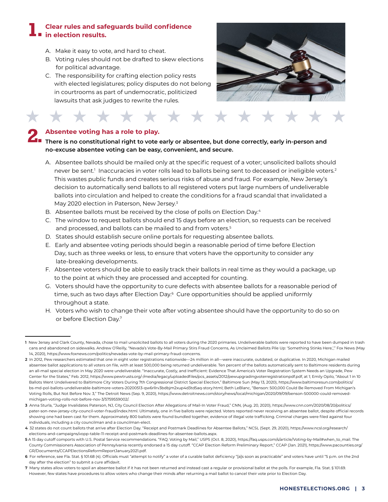#### **Clear rules and safeguards build confidence in election results. 1.**

- A. Make it easy to vote, and hard to cheat.
- B. Voting rules should not be drafted to skew elections for political advantage.
- C. The responsibility for crafting election policy rests with elected legislatures; policy disputes do not belong in courtrooms as part of undemocratic, politicized lawsuits that ask judges to rewrite the rules.



#### **Absentee voting has a role to play.**

★

#### **There is no constitutional right to play.**<br> **2. There is no constitutional right to vote early or absentee, but done correctly, early in-person and no-excuse absentee voting can be easy, convenient, and secure.**

- A. Absentee ballots should be mailed only at the specific request of a voter; unsolicited ballots should never be sent.<sup>1</sup> Inaccuracies in voter rolls lead to ballots being sent to deceased or ineligible voters.<sup>2</sup> This wastes public funds and creates serious risks of abuse and fraud. For example, New Jersey's decision to automatically send ballots to all registered voters put large numbers of undeliverable ballots into circulation and helped to create the conditions for a fraud scandal that invalidated a May 2020 election in Paterson, New Jersey.<sup>3</sup>
- B. Absentee ballots must be received by the close of polls on Election Day.<sup>4</sup>
- C. The window to request ballots should end 15 days before an election, so requests can be received and processed, and ballots can be mailed to and from voters.<sup>5</sup>
- D. States should establish secure online portals for requesting absentee ballots.

\* \* \* \*

- E. Early and absentee voting periods should begin a reasonable period of time before Election Day, such as three weeks or less, to ensure that voters have the opportunity to consider any late-breaking developments.
- F. Absentee voters should be able to easily track their ballots in real time as they would a package, up to the point at which they are processed and accepted for counting.
- G. Voters should have the opportunity to cure defects with absentee ballots for a reasonable period of time, such as two days after Election Day.<sup>6</sup> Cure opportunities should be applied uniformly throughout a state.
- H. Voters who wish to change their vote after voting absentee should have the opportunity to do so on or before Election Day.7

**<sup>1</sup>** New Jersey and Clark County, Nevada, chose to mail unsolicited ballots to all voters during the 2020 primaries. Undeliverable ballots were reported to have been dumped in trash cans and abandoned on sidewalks. Andrew O'Reilly, "Nevada's Vote-By-Mail Primary Stirs Fraud Concerns, As Unclaimed Ballots Pile Up: 'Something Stinks Here,'," Fox News (May 14, 2020), [https://www.foxnews.com/politics/nevadas-vote-by-mail-primary-fraud-concerns.](https://www.foxnews.com/politics/nevadas-vote-by-mail-primary-fraud-concerns)

**<sup>2</sup>** In 2012, Pew researchers estimated that one in eight voter registrations nationwide—24 million in all—were inaccurate, outdated, or duplicative. In 2020, Michigan mailed absentee ballot applications to all voters on file, with at least 500,000 being returned undeliverable. Ten percent of the ballots automatically sent to Baltimore residents during an all-mail special election in May 2020 were undeliverable. "Inaccurate, Costly, and Inefficient: Evidence That America's Voter Registration System Needs an Upgrade, Pew Center for the States," Feb. 2012, [https://www.pewtrusts.org/-/media/legacy/uploadedfiles/pcs\\_assets/2012/pewupgradingvoterregistrationpdf.pdf,](https://www.pewtrusts.org/-/media/legacy/uploadedfiles/pcs_assets/2012/pewupgradingvoterregistrationpdf.pdf) at 1; Emily Opilo, "About 1 in 10 Ballots Went Undelivered to Baltimore City Voters During 7th Congressional District Special Election," Baltimore Sun (May 13, 2020), [https://www.baltimoresun.com/politics/](https://www.baltimoresun.com/politics/bs-md-pol-ballots-undeliverable-baltimore-voters-20200513-qw6rllrv3bdbjm2xup4d3td5aq-story.html)  [bs-md-pol-ballots-undeliverable-baltimore-voters-20200513-qw6rllrv3bdbjm2xup4d3td5aq-story.html](https://www.baltimoresun.com/politics/bs-md-pol-ballots-undeliverable-baltimore-voters-20200513-qw6rllrv3bdbjm2xup4d3td5aq-story.html); Beth LeBlanc, "Benson: 500,000 Could Be Removed From Michigan's Voting Rolls, But Not Before Nov. 3," The Detroit News (Sep. 9, 2020), https://www.detroitnews.com/story/news/local/michigan/2020/09/09/benson-500000-could-removed michigan-voting-rolls-not-before-nov-3/5759559002/.

**<sup>3</sup>** Anna Sturla, "Judge Invalidates Paterson, NJ, City Council Election After Allegations of Mail-In Voter Fraud," CNN, (Aug. 20, 2020), [https://www.cnn.com/2020/08/20/politics/](https://www.cnn.com/2020/08/20/politics/paterson-new-jersey-city-council-voter-fraud/index.html)  [pater-son-new-jersey-city-council-voter-fraud/index.html](https://www.cnn.com/2020/08/20/politics/paterson-new-jersey-city-council-voter-fraud/index.html). Ultimately, one in five ballots were rejected. Voters reported never receiving an absentee ballot, despite official records showing one had been cast for them. Approximately 800 ballots were found bundled together, evidence of illegal vote trafficking. Criminal charges were filed against four individuals, including a city councilman and a councilman-elect.

**<sup>4</sup>** 32 states do not count ballots that arrive after Election Day. "Receipt and Postmark Deadlines for Absentee Ballots," NCSL (Sept. 29, 2020), https://www.ncsl.org/research/ elections-and-campaigns/vopp-table-11-receipt-and-postmark-deadlines-for-absentee-ballots.aspx.

**<sup>5</sup>** A 15 day cutoff comports with U.S. Postal Service recommendations. "FAQ: Voting by Mail," USPS (Oct. 8, 2020), [https://faq.usps.com/s/article/Voting-by-Mail#when\\_to\\_mail](https://faq.usps.com/s/article/Voting-by-Mail%23when_to_mail). The County Commissioners Association of Pennsylvania recently endorsed a 15 day cutoff. "CCAP Election Reform Preliminary Report," CCAP (Jan. 2021), [https://www.pacounties.org/](https://www.pacounties.org/GR/Documents/CCAPElectionsReformReportJanuary2021.pdf)  [GR/Documents/CCAPElectionsReformReportJanuary2021.pdf.](https://www.pacounties.org/GR/Documents/CCAPElectionsReformReportJanuary2021.pdf)

**<sup>6</sup>** For reference, see Fla. Stat. § 101.68 (4). Officials must "attempt to notify" a voter of a curable ballot deficiency "[a]s soon as practicable" and voters have until "5 p.m. on the 2nd day after the election" to submit a cure affidavit.

**<sup>7</sup>** Many states allow voters to spoil an absentee ballot if it has not been returned and instead cast a regular or provisional ballot at the polls. For example, Fla. Stat. § 101.69. However, few states have procedures to allow voters who change their minds after returning a mail ballot to cancel their vote prior to Election Day.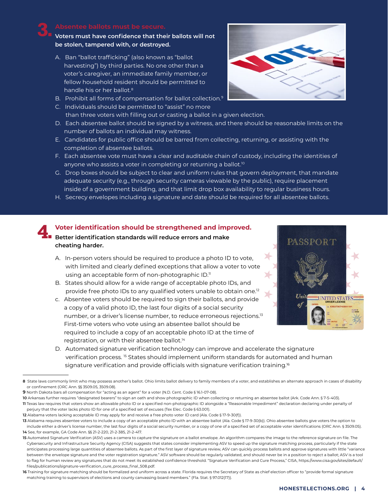### **3.**

#### **Voters must have confidence that their ballots will not be stolen, tampered with, or destroyed.**

- A. Ban "ballot trafficking" (also known as "ballot harvesting") by third parties. No one other than a voter's caregiver, an immediate family member, or fellow household resident should be permitted to handle his or her ballot.<sup>8</sup>
- B. Prohibit all forms of compensation for ballot collection.<sup>9</sup>
- C. Individuals should be permitted to "assist" no more than three voters with filling out or casting a ballot in a given election.
- D. Each absentee ballot should be signed by a witness, and there should be reasonable limits on the number of ballots an individual may witness.
- E. Candidates for public office should be barred from collecting, returning, or assisting with the completion of absentee ballots.
- F. Each absentee vote must have a clear and auditable chain of custody, including the identities of anyone who assists a voter in completing or returning a ballot.<sup>10</sup>
- G. Drop boxes should be subject to clear and uniform rules that govern deployment, that mandate adequate security (e.g., through security cameras viewable by the public), require placement inside of a government building, and that limit drop box availability to regular business hours.
- H. Secrecy envelopes including a signature and date should be required for all absentee ballots.

#### **4. Voter identification should be strengthened and improved. Better identification standards will reduce errors and make cheating harder.**

- A. In-person voters should be required to produce a photo ID to vote, with limited and clearly defined exceptions that allow a voter to vote using an acceptable form of non-photographic ID.<sup>11</sup>
- B. States should allow for a wide range of acceptable photo IDs, and provide free photo IDs to any qualified voters unable to obtain one.<sup>12</sup>
- c. Absentee voters should be required to sign their ballots, and provide a copy of a valid photo ID, the last four digits of a social security number, or a driver's license number, to reduce erroneous rejections.13 First-time voters who vote using an absentee ballot should be required to include a copy of an acceptable photo ID at the time of registration, or with their absentee ballot.14



D. Automated signature verification technology can improve and accelerate the signature verification process. 15 States should implement uniform standards for automated and human signature verification and provide officials with signature verification training.<sup>16</sup>



**<sup>8</sup>** State laws commonly limit who may possess another's ballot. Ohio limits ballot delivery to family members of a voter, and establishes an alternate approach in cases of disability or confinement (ORC Ann. §§ 3509.05, 3509.08).

**<sup>9</sup>** North Dakota bars all compensation for "acting as an agent" for a voter (N.D. Cent. Code § 16.1-07-08).

**<sup>10</sup>** Arkansas further requires "designated bearers" to sign an oath and show photographic ID when collecting or returning an absentee ballot (Ark. Code Ann. § 7-5-403). **11** Texas law requires that voters show an allowable photo ID or a specified non-photographic ID alongside a "Reasonable Impediment" declaration declaring under penalty of perjury that the voter lacks photo ID for one of a specified set of excuses (Tex Elec. Code § 63.001).

**<sup>12</sup>** Alabama voters lacking acceptable ID may apply for and receive a free photo voter ID card (Ala. Code § 17-9-30(f)).

**<sup>13</sup>** Alabama requires absentee voters to include a copy of an acceptable photo ID with an absentee ballot (Ala. Code § 17-9-30(b)). Ohio absentee ballots give voters the option to include either a driver's license number, the last four digits of a social security number, or a copy of one of a specified set of acceptable voter identifications (ORC Ann. § 3509.05). **14** See, for example, GA Code Ann. §§ 21-2-220, 21-2-385, 21-2-417.

**<sup>15</sup>** Automated Signature Verification (ASV) uses a camera to capture the signature on a ballot envelope. An algorithm compares the image to the reference signature on file. The Cybersecurity and Infrastructure Security Agency (CISA) suggests that states consider implementing ASV to speed up the signature matching process, particularly if the state anticipates processing large quantities of absentee ballots. As part of the first layer of signature review, ASV can quickly process ballots and approve signatures with little "variance between the envelope signature and the voter registration signature." ASV software should be regularly validated, and should never be in a position to reject a ballot; ASV is a tool to flag for human review any signatures that do not meet its established confidence threshold. "Signature Verification and Cure Process," CISA, [https://www.cisa.gov/sites/default/](https://www.cisa.gov/sites/default/files/publications/signature-verification_cure_process_final_508.pdf)  [files/publications/signature-verification\\_cure\\_process\\_final\\_508.pdf.](https://www.cisa.gov/sites/default/files/publications/signature-verification_cure_process_final_508.pdf)

**<sup>16</sup>** Training for signature matching should be formalized and uniform across a state. Florida requires the Secretary of State as chief election officer to "provide formal signature matching training to supervisors of elections and county canvassing board members." (Fla. Stat. § 97.012(17)).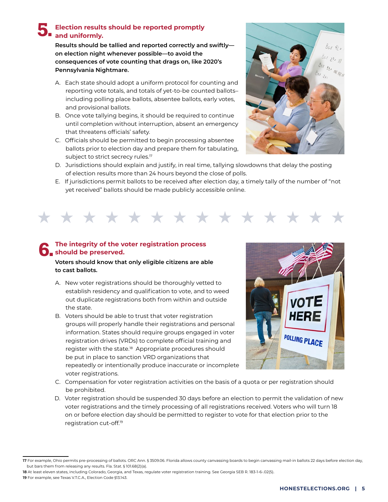#### **Election results should be reported promptly and uniformly. 5.**

**Results should be tallied and reported correctly and swiftly on election night whenever possible—to avoid the consequences of vote counting that drags on, like 2020's Pennsylvania Nightmare.**

- A. Each state should adopt a uniform protocol for counting and reporting vote totals, and totals of yet-to-be counted ballots– including polling place ballots, absentee ballots, early votes, and provisional ballots.
- B. Once vote tallying begins, it should be required to continue until completion without interruption, absent an emergency that threatens officials' safety.
- C. Officials should be permitted to begin processing absentee ballots prior to election day and prepare them for tabulating, subject to strict secrecy rules.<sup>17</sup>



- D. Jurisdictions should explain and justify, in real time, tallying slowdowns that delay the posting of election results more than 24 hours beyond the close of polls.
- E. If jurisdictions permit ballots to be received after election day, a timely tally of the number of "not yet received" ballots should be made publicly accessible online.



#### **The integrity of the voter registration process h** should be preserved.

#### **Voters should know that only eligible citizens are able to cast ballots.**

- A. New voter registrations should be thoroughly vetted to establish residency and qualification to vote, and to weed out duplicate registrations both from within and outside the state.
- B. Voters should be able to trust that voter registration groups will properly handle their registrations and personal information. States should require groups engaged in voter registration drives (VRDs) to complete official training and register with the state.<sup>18</sup> Appropriate procedures should be put in place to sanction VRD organizations that repeatedly or intentionally produce inaccurate or incomplete voter registrations.



- C. Compensation for voter registration activities on the basis of a quota or per registration should be prohibited.
- D. Voter registration should be suspended 30 days before an election to permit the validation of new voter registrations and the timely processing of all registrations received. Voters who will turn 18 on or before election day should be permitted to register to vote for that election prior to the registration cut-off.19

**<sup>17</sup>** For example, Ohio permits pre-processing of ballots. ORC Ann. § 3509.06. Florida allows county canvassing boards to begin canvassing mail-in ballots 22 days before election day, but bars them from releasing any results. Fla. Stat. § 101.68(2)(a).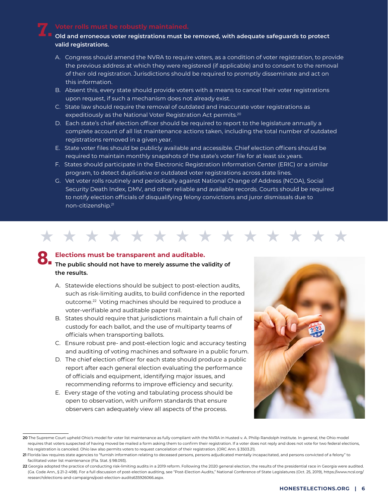### **7.**

#### **Old and erroneous voter registrations must be removed, with adequate safeguards to protect valid registrations.**

- A. Congress should amend the NVRA to require voters, as a condition of voter registration, to provide the previous address at which they were registered (if applicable) and to consent to the removal of their old registration. Jurisdictions should be required to promptly disseminate and act on this information.
- B. Absent this, every state should provide voters with a means to cancel their voter registrations upon request, if such a mechanism does not already exist.
- C. State law should require the removal of outdated and inaccurate voter registrations as expeditiously as the National Voter Registration Act permits.<sup>20</sup>
- D. Each state's chief election officer should be required to report to the legislature annually a complete account of all list maintenance actions taken, including the total number of outdated registrations removed in a given year.
- E. State voter files should be publicly available and accessible. Chief election officers should be required to maintain monthly snapshots of the state's voter file for at least six years.
- F. States should participate in the Electronic Registration Information Center (ERIC) or a similar program, to detect duplicative or outdated voter registrations across state lines.
- G. Vet voter rolls routinely and periodically against National Change of Address (NCOA), Social Security Death Index, DMV, and other reliable and available records. Courts should be required to notify election officials of disqualifying felony convictions and juror dismissals due to non-citizenship.<sup>21</sup>

### \* \* \* \* \* \* \* \* \*

#### **Elections must be transparent and auditable.**

### **P** Elections must be transparent and auditable.<br> **P** The public should not have to merely assume the validity of **the results.**

- A. Statewide elections should be subject to post-election audits, such as risk-limiting audits, to build confidence in the reported outcome.22 Voting machines should be required to produce a voter-verifiable and auditable paper trail.
- B. States should require that jurisdictions maintain a full chain of custody for each ballot, and the use of multiparty teams of officials when transporting ballots.
- C. Ensure robust pre- and post-election logic and accuracy testing and auditing of voting machines and software in a public forum.
- D. The chief election officer for each state should produce a public report after each general election evaluating the performance of officials and equipment, identifying major issues, and recommending reforms to improve efficiency and security.
- E. Every stage of the voting and tabulating process should be open to observation, with uniform standards that ensure observers can adequately view all aspects of the process.



**<sup>20</sup>** The Supreme Court upheld Ohio's model for voter list maintenance as fully compliant with the NVRA in Husted v. A. Philip Randolph Institute. In general, the Ohio model requires that voters suspected of having moved be mailed a form asking them to confirm their registration. If a voter does not reply and does not vote for two federal elections, his registration is canceled. Ohio law also permits voters to request cancelation of their registration. (ORC Ann. § 3503.21).

**<sup>21</sup>** Florida law requires state agencies to "furnish information relating to deceased persons, persons adjudicated mentally incapacitated, and persons convicted of a felony" to facilitated voter list maintenance (Fla. Stat. § 98.093).

**<sup>22</sup>** Georgia adopted the practice of conducting risk-limiting audits in a 2019 reform. Following the 2020 general election, the results of the presidential race in Georgia were audited. (Ga. Code Ann., § 21-2-498). For a full discussion of post-election auditing, see "Post-Election Audits," National Conference of State Legislatures (Oct. 25, 2019), [https://www.ncsl.org/](https://www.ncsl.org/research/elections-and-campaigns/post-election-audits635926066.aspx)  [research/elections-and-campaigns/post-election-audits635926066.aspx.](https://www.ncsl.org/research/elections-and-campaigns/post-election-audits635926066.aspx)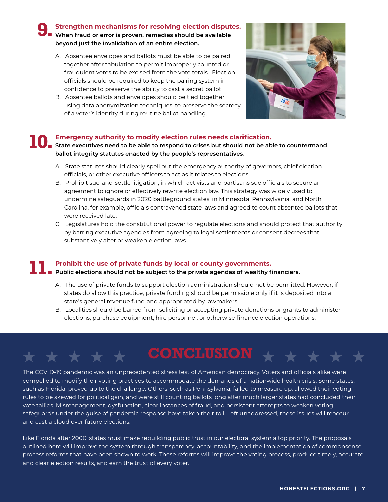**Strengthen mechanisms for resolving election disputes. Strengthen mechanisms for resolving election disput<br>
I When fraud or error is proven, remedies should be available beyond just the invalidation of an entire election.**

- A. Absentee envelopes and ballots must be able to be paired together after tabulation to permit improperly counted or fraudulent votes to be excised from the vote totals. Election officials should be required to keep the pairing system in confidence to preserve the ability to cast a secret ballot.
- B. Absentee ballots and envelopes should be tied together using data anonymization techniques, to preserve the secrecy of a voter's identity during routine ballot handling.



#### **Emergency authority to modify election rules needs clarification.**

**State executives need to be able to respond to crises but should not be able to countermand <b>10.** State executives need to be able to respond to crises but should not be able to countermand **ballot integrity statutes enacted by the people's representatives.**

- A. State statutes should clearly spell out the emergency authority of governors, chief election officials, or other executive officers to act as it relates to elections.
- B. Prohibit sue-and-settle litigation, in which activists and partisans sue officials to secure an agreement to ignore or effectively rewrite election law. This strategy was widely used to undermine safeguards in 2020 battleground states: in Minnesota, Pennsylvania, and North Carolina, for example, officials contravened state laws and agreed to count absentee ballots that were received late.
- C. Legislatures hold the constitutional power to regulate elections and should protect that authority by barring executive agencies from agreeing to legal settlements or consent decrees that substantively alter or weaken election laws.

#### **Prohibit the use of private funds by local or county governments. 11.** Prohibit the use of private funds by local or county governments.<br> **11.** Public elections should not be subject to the private agendas of wealthy financiers.

- A. The use of private funds to support election administration should not be permitted. However, if states do allow this practice, private funding should be permissible only if it is deposited into a state's general revenue fund and appropriated by lawmakers.
- B. Localities should be barred from soliciting or accepting private donations or grants to administer elections, purchase equipment, hire personnel, or otherwise finance election operations.

## CONCLUSION \* \*

The COVID-19 pandemic was an unprecedented stress test of American democracy. Voters and officials alike were compelled to modify their voting practices to accommodate the demands of a nationwide health crisis. Some states, such as Florida, proved up to the challenge. Others, such as Pennsylvania, failed to measure up, allowed their voting rules to be skewed for political gain, and were still counting ballots long after much larger states had concluded their vote tallies. Mismanagement, dysfunction, clear instances of fraud, and persistent attempts to weaken voting safeguards under the guise of pandemic response have taken their toll. Left unaddressed, these issues will reoccur and cast a cloud over future elections.

Like Florida after 2000, states must make rebuilding public trust in our electoral system a top priority. The proposals outlined here will improve the system through transparency, accountability, and the implementation of commonsense process reforms that have been shown to work. These reforms will improve the voting process, produce timely, accurate, and clear election results, and earn the trust of every voter.